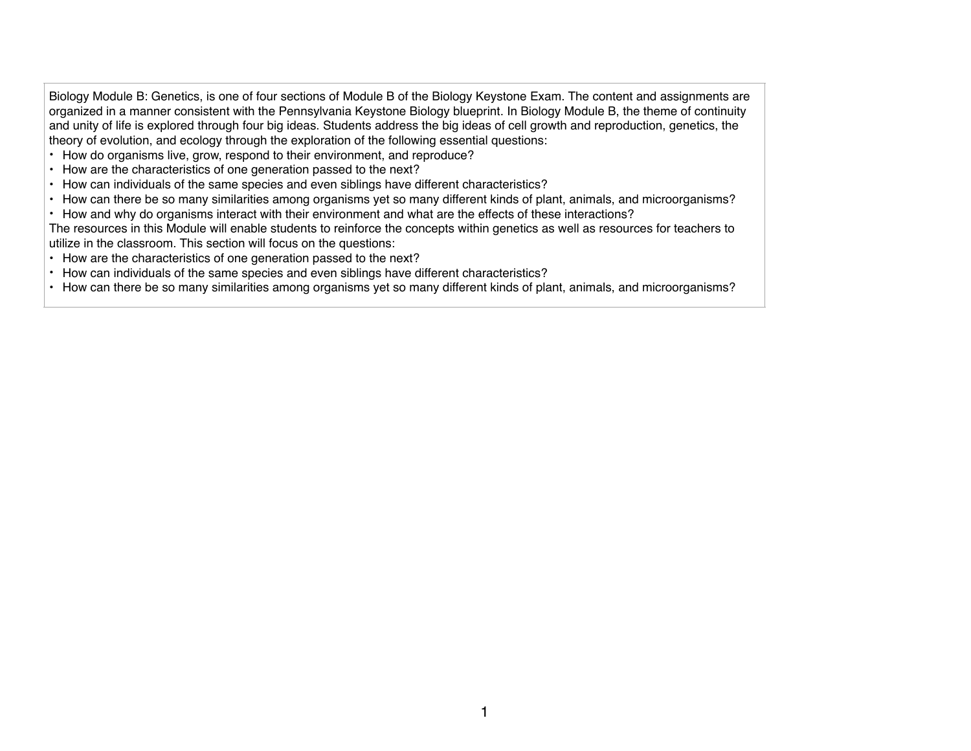Biology Module B: Genetics, is one of four sections of Module B of the Biology Keystone Exam. The content and assignments are organized in a manner consistent with the Pennsylvania Keystone Biology blueprint. In Biology Module B, the theme of continuity and unity of life is explored through four big ideas. Students address the big ideas of cell growth and reproduction, genetics, the theory of evolution, and ecology through the exploration of the following essential questions:

- How do organisms live, grow, respond to their environment, and reproduce?
- How are the characteristics of one generation passed to the next?
- How can individuals of the same species and even siblings have different characteristics?
- How can there be so many similarities among organisms yet so many different kinds of plant, animals, and microorganisms?
- How and why do organisms interact with their environment and what are the effects of these interactions?
- The resources in this Module will enable students to reinforce the concepts within genetics as well as resources for teachers to utilize in the classroom. This section will focus on the questions:
- How are the characteristics of one generation passed to the next?
- How can individuals of the same species and even siblings have different characteristics?
- How can there be so many similarities among organisms yet so many different kinds of plant, animals, and microorganisms?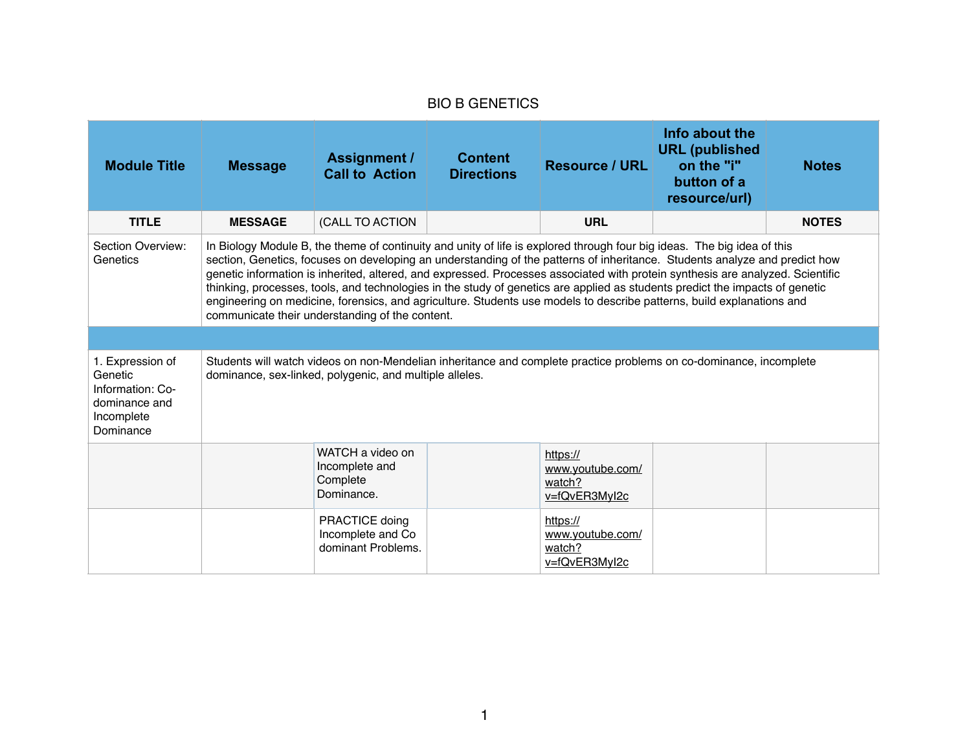## BIO B GENETICS

| <b>Module Title</b>                                                                         | <b>Message</b>                                                                                                                                                                                                                                                                                                                                                                                                                                                                                                                                                                                                                                                                                      | <b>Assignment /</b><br><b>Call to Action</b>                 | <b>Content</b><br><b>Directions</b> | <b>Resource / URL</b>                                   | Info about the<br><b>URL</b> (published<br>on the "i"<br>button of a<br>resource/url) | <b>Notes</b> |  |
|---------------------------------------------------------------------------------------------|-----------------------------------------------------------------------------------------------------------------------------------------------------------------------------------------------------------------------------------------------------------------------------------------------------------------------------------------------------------------------------------------------------------------------------------------------------------------------------------------------------------------------------------------------------------------------------------------------------------------------------------------------------------------------------------------------------|--------------------------------------------------------------|-------------------------------------|---------------------------------------------------------|---------------------------------------------------------------------------------------|--------------|--|
| <b>TITLE</b>                                                                                | <b>MESSAGE</b>                                                                                                                                                                                                                                                                                                                                                                                                                                                                                                                                                                                                                                                                                      | (CALL TO ACTION                                              |                                     | <b>URL</b>                                              |                                                                                       | <b>NOTES</b> |  |
| Section Overview:<br>Genetics                                                               | In Biology Module B, the theme of continuity and unity of life is explored through four big ideas. The big idea of this<br>section, Genetics, focuses on developing an understanding of the patterns of inheritance. Students analyze and predict how<br>genetic information is inherited, altered, and expressed. Processes associated with protein synthesis are analyzed. Scientific<br>thinking, processes, tools, and technologies in the study of genetics are applied as students predict the impacts of genetic<br>engineering on medicine, forensics, and agriculture. Students use models to describe patterns, build explanations and<br>communicate their understanding of the content. |                                                              |                                     |                                                         |                                                                                       |              |  |
|                                                                                             |                                                                                                                                                                                                                                                                                                                                                                                                                                                                                                                                                                                                                                                                                                     |                                                              |                                     |                                                         |                                                                                       |              |  |
| 1. Expression of<br>Genetic<br>Information: Co-<br>dominance and<br>Incomplete<br>Dominance | Students will watch videos on non-Mendelian inheritance and complete practice problems on co-dominance, incomplete<br>dominance, sex-linked, polygenic, and multiple alleles.                                                                                                                                                                                                                                                                                                                                                                                                                                                                                                                       |                                                              |                                     |                                                         |                                                                                       |              |  |
|                                                                                             |                                                                                                                                                                                                                                                                                                                                                                                                                                                                                                                                                                                                                                                                                                     | WATCH a video on<br>Incomplete and<br>Complete<br>Dominance. |                                     | https://<br>www.youtube.com/<br>watch?<br>v=fQvER3MyI2c |                                                                                       |              |  |
|                                                                                             |                                                                                                                                                                                                                                                                                                                                                                                                                                                                                                                                                                                                                                                                                                     | PRACTICE doing<br>Incomplete and Co<br>dominant Problems.    |                                     | https://<br>www.youtube.com/<br>watch?<br>v=fQvER3MyI2c |                                                                                       |              |  |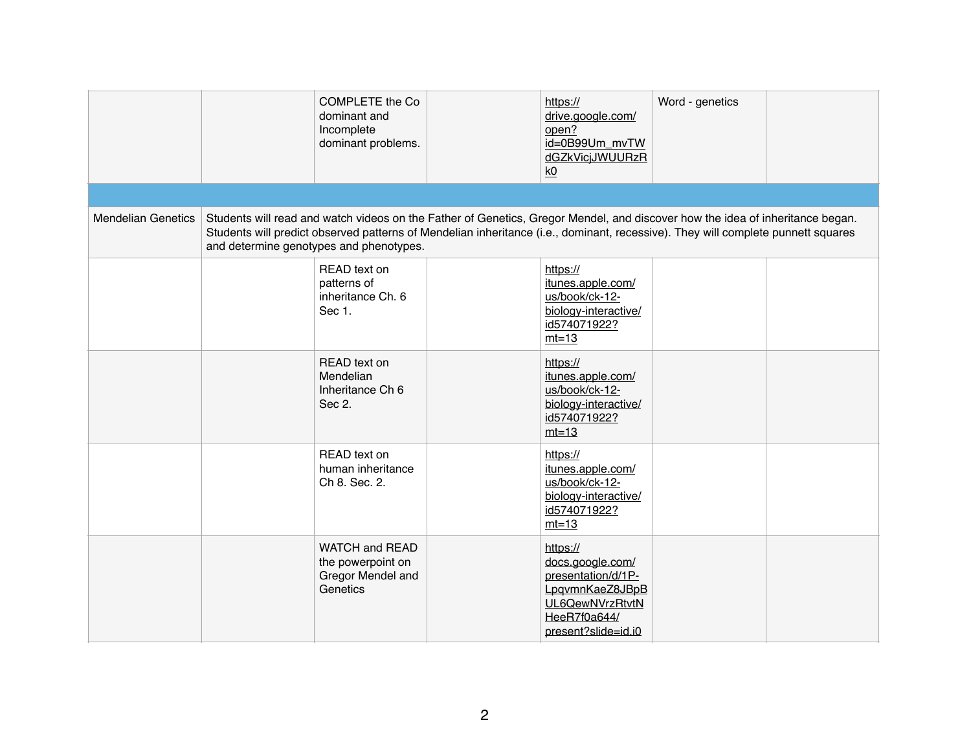|                           | <b>COMPLETE</b> the Co<br>dominant and<br>Incomplete<br>dominant problems.                                                                                                                                                                                                                                   | https://<br>drive.google.com/<br>open?<br>id=0B99Um_mvTW<br>dGZkVicjJWUURzR<br>k0                                               | Word - genetics |  |
|---------------------------|--------------------------------------------------------------------------------------------------------------------------------------------------------------------------------------------------------------------------------------------------------------------------------------------------------------|---------------------------------------------------------------------------------------------------------------------------------|-----------------|--|
|                           |                                                                                                                                                                                                                                                                                                              |                                                                                                                                 |                 |  |
| <b>Mendelian Genetics</b> | Students will read and watch videos on the Father of Genetics, Gregor Mendel, and discover how the idea of inheritance began.<br>Students will predict observed patterns of Mendelian inheritance (i.e., dominant, recessive). They will complete punnett squares<br>and determine genotypes and phenotypes. |                                                                                                                                 |                 |  |
|                           | READ text on<br>patterns of<br>inheritance Ch. 6<br>Sec 1.                                                                                                                                                                                                                                                   | https://<br>itunes.apple.com/<br>us/book/ck-12-<br>biology-interactive/<br>id574071922?<br>$mt=13$                              |                 |  |
|                           | READ text on<br>Mendelian<br>Inheritance Ch 6<br>Sec 2.                                                                                                                                                                                                                                                      | https://<br>itunes.apple.com/<br>us/book/ck-12-<br>biology-interactive/<br>id574071922?<br>$mt=13$                              |                 |  |
|                           | READ text on<br>human inheritance<br>Ch 8. Sec. 2.                                                                                                                                                                                                                                                           | https://<br>itunes.apple.com/<br>us/book/ck-12-<br>biology-interactive/<br>id574071922?<br>$mt=13$                              |                 |  |
|                           | <b>WATCH and READ</b><br>the powerpoint on<br>Gregor Mendel and<br>Genetics                                                                                                                                                                                                                                  | https://<br>docs.google.com/<br>presentation/d/1P-<br>LpqvmnKaeZ8JBpB<br>UL6QewNVrzRtvtN<br>HeeR7f0a644/<br>present?slide=id.i0 |                 |  |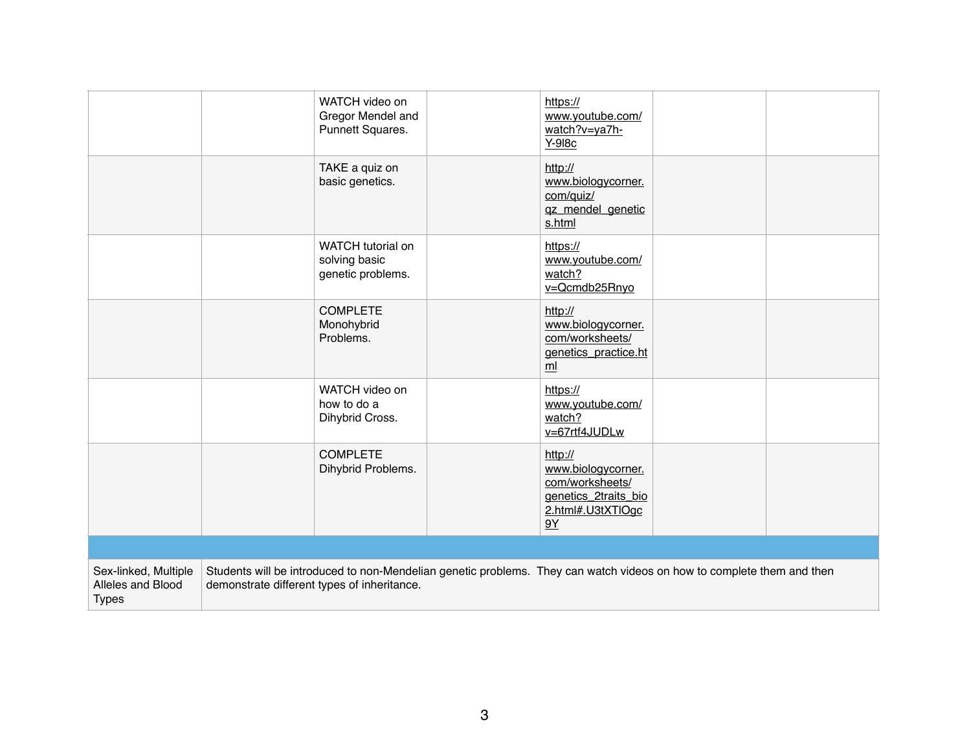|                                                           | WATCH video on<br>Gregor Mendel and<br>Punnett Squares. | https://<br>www.youtube.com/<br>watch?v=ya7h-<br>Y-918c                                                               |  |
|-----------------------------------------------------------|---------------------------------------------------------|-----------------------------------------------------------------------------------------------------------------------|--|
|                                                           | TAKE a quiz on<br>basic genetics.                       | http://<br>www.biologycorner.<br>com/quiz/<br>qz_mendel_genetic<br>s.html                                             |  |
|                                                           | WATCH tutorial on<br>solving basic<br>genetic problems. | https://<br>www.youtube.com/<br>watch?<br>v=Qcmdb25Rnyo                                                               |  |
|                                                           | <b>COMPLETE</b><br>Monohybrid<br>Problems.              | http://<br>www.biologycorner.<br>com/worksheets/<br>genetics_practice.ht<br>ml                                        |  |
|                                                           | WATCH video on<br>how to do a<br>Dihybrid Cross.        | https://<br>www.youtube.com/<br>watch?<br>v=67rtf4JUDLw                                                               |  |
|                                                           | <b>COMPLETE</b><br>Dihybrid Problems.                   | http://<br>www.biologycorner.<br>com/worksheets/<br>genetics_2traits_bio<br>2.html#.U3tXTlOgc<br>9Y                   |  |
|                                                           |                                                         |                                                                                                                       |  |
| Sex-linked, Multiple<br>Alleles and Blood<br><b>Types</b> | demonstrate different types of inheritance.             | Students will be introduced to non-Mendelian genetic problems. They can watch videos on how to complete them and then |  |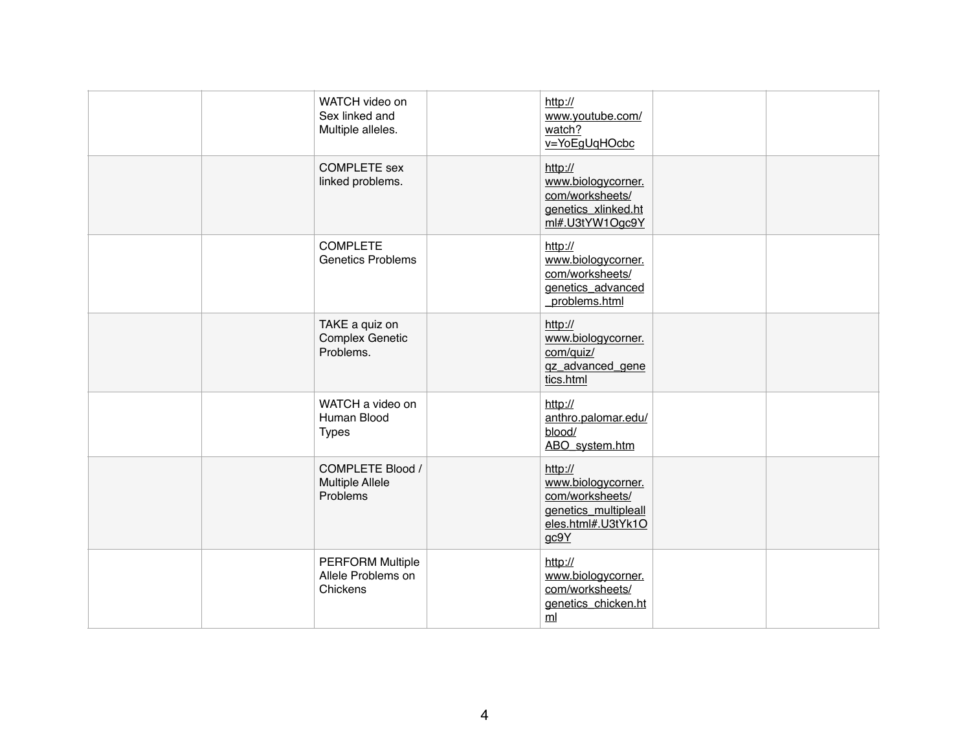|  | WATCH video on<br>Sex linked and<br>Multiple alleles.         | http://<br>www.youtube.com/<br>watch?<br>v=YoEgUqHOcbc                                                 |  |
|--|---------------------------------------------------------------|--------------------------------------------------------------------------------------------------------|--|
|  | <b>COMPLETE</b> sex<br>linked problems.                       | http://<br>www.biologycorner.<br>com/worksheets/<br>genetics_xlinked.ht<br>ml#.U3tYW1Ogc9Y             |  |
|  | <b>COMPLETE</b><br><b>Genetics Problems</b>                   | http://<br>www.biologycorner.<br>com/worksheets/<br>genetics_advanced<br>problems.html                 |  |
|  | TAKE a quiz on<br><b>Complex Genetic</b><br>Problems.         | http://<br>www.biologycorner.<br>com/quiz/<br>gz_advanced_gene<br>tics.html                            |  |
|  | WATCH a video on<br>Human Blood<br><b>Types</b>               | http://<br>anthro.palomar.edu/<br>blood/<br>ABO_system.htm                                             |  |
|  | <b>COMPLETE Blood /</b><br><b>Multiple Allele</b><br>Problems | http://<br>www.biologycorner.<br>com/worksheets/<br>genetics multipleall<br>eles.html#.U3tYk1O<br>gc9Y |  |
|  | <b>PERFORM Multiple</b><br>Allele Problems on<br>Chickens     | http://<br>www.biologycorner.<br>com/worksheets/<br>genetics_chicken.ht<br>ml                          |  |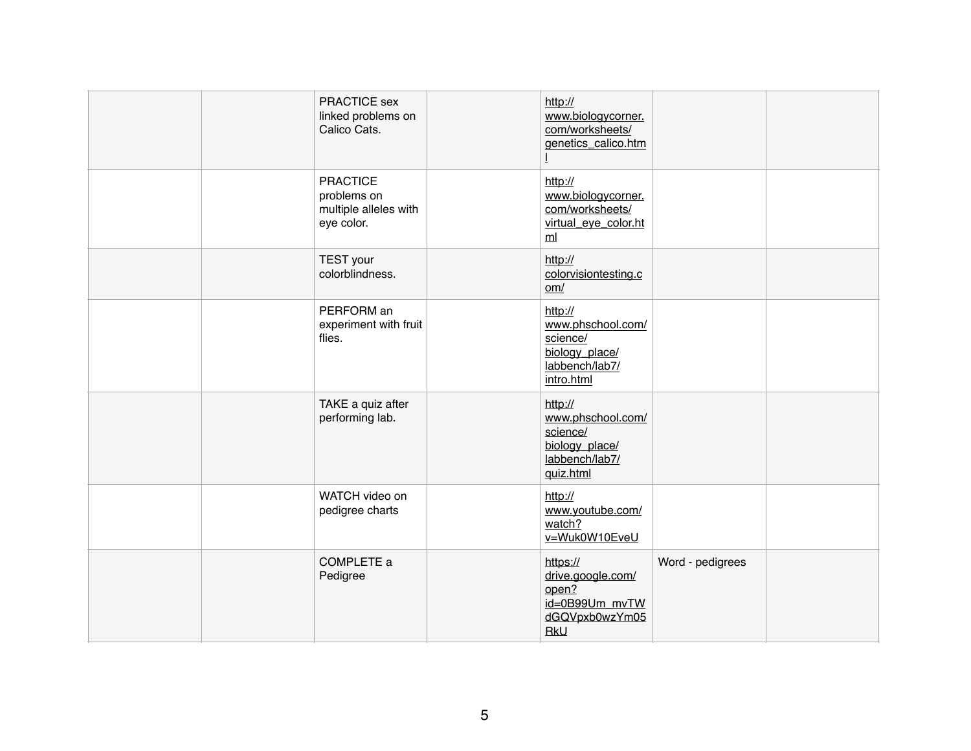| PRACTICE sex<br>linked problems on<br>Calico Cats.                    | http://<br>www.biologycorner.<br>com/worksheets/<br>genetics_calico.htm                    |                  |  |
|-----------------------------------------------------------------------|--------------------------------------------------------------------------------------------|------------------|--|
| <b>PRACTICE</b><br>problems on<br>multiple alleles with<br>eye color. | http://<br>www.biologycorner.<br>com/worksheets/<br>virtual_eye_color.ht<br>m <sub>l</sub> |                  |  |
| <b>TEST</b> your<br>colorblindness.                                   | http://<br>colorvisiontesting.c<br>om/                                                     |                  |  |
| PERFORM an<br>experiment with fruit<br>flies.                         | http://<br>www.phschool.com/<br>science/<br>biology_place/<br>labbench/lab7/<br>intro.html |                  |  |
| TAKE a quiz after<br>performing lab.                                  | http://<br>www.phschool.com/<br>science/<br>biology_place/<br>labbench/lab7/<br>quiz.html  |                  |  |
| WATCH video on<br>pedigree charts                                     | http://<br>www.youtube.com/<br>watch?<br>v=Wuk0W10EveU                                     |                  |  |
| COMPLETE a<br>Pedigree                                                | https://<br>drive.google.com/<br>open?<br>id=0B99Um_mvTW<br>dGQVpxb0wzYm05<br><b>RkU</b>   | Word - pedigrees |  |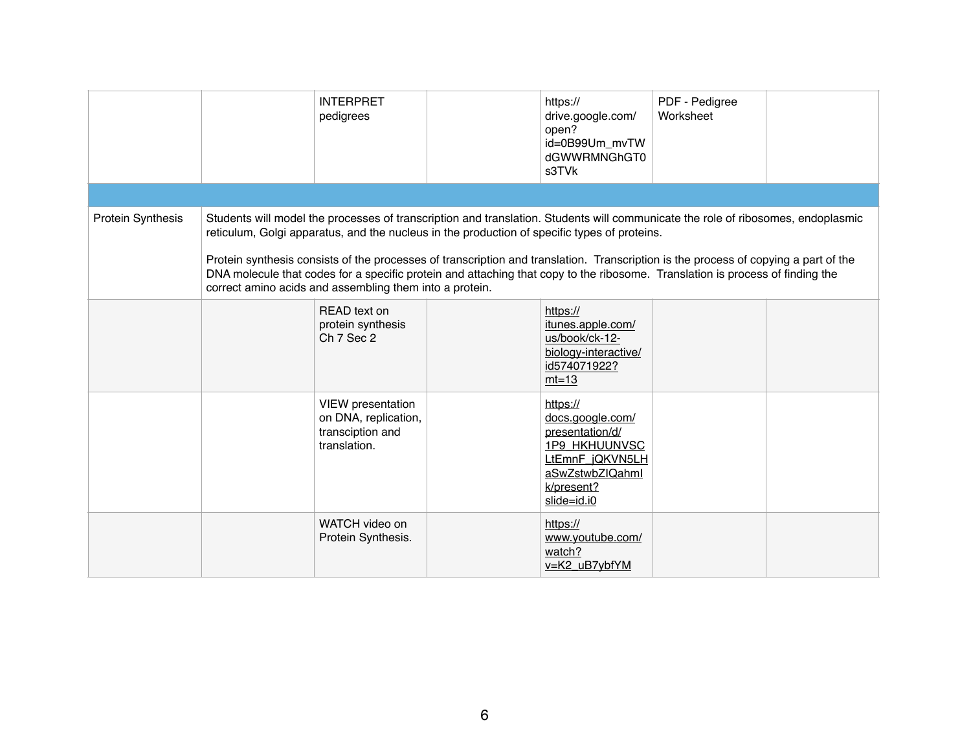|                          | <b>INTERPRET</b><br>pedigrees                                                                                                                                                                                                                                                                                                                                                                                                                                                                                                                                       |  | https://<br>drive.google.com/<br>open?<br>id=0B99Um_mvTW<br>dGWWRMNGhGT0<br>s3TVk                                                          | PDF - Pedigree<br>Worksheet |  |  |  |
|--------------------------|---------------------------------------------------------------------------------------------------------------------------------------------------------------------------------------------------------------------------------------------------------------------------------------------------------------------------------------------------------------------------------------------------------------------------------------------------------------------------------------------------------------------------------------------------------------------|--|--------------------------------------------------------------------------------------------------------------------------------------------|-----------------------------|--|--|--|
|                          |                                                                                                                                                                                                                                                                                                                                                                                                                                                                                                                                                                     |  |                                                                                                                                            |                             |  |  |  |
| <b>Protein Synthesis</b> | Students will model the processes of transcription and translation. Students will communicate the role of ribosomes, endoplasmic<br>reticulum, Golgi apparatus, and the nucleus in the production of specific types of proteins.<br>Protein synthesis consists of the processes of transcription and translation. Transcription is the process of copying a part of the<br>DNA molecule that codes for a specific protein and attaching that copy to the ribosome. Translation is process of finding the<br>correct amino acids and assembling them into a protein. |  |                                                                                                                                            |                             |  |  |  |
|                          | READ text on<br>protein synthesis<br>Ch 7 Sec 2                                                                                                                                                                                                                                                                                                                                                                                                                                                                                                                     |  | https://<br>itunes.apple.com/<br>us/book/ck-12-<br>biology-interactive/<br>id574071922?<br>$mt=13$                                         |                             |  |  |  |
|                          | <b>VIEW</b> presentation<br>on DNA, replication,<br>transciption and<br>translation.                                                                                                                                                                                                                                                                                                                                                                                                                                                                                |  | https://<br>docs.google.com/<br>presentation/d/<br><b>1P9_HKHUUNVSC</b><br>LtEmnF_jQKVN5LH<br>aSwZstwbZlQahml<br>k/present?<br>slide=id.i0 |                             |  |  |  |
|                          | WATCH video on<br>Protein Synthesis.                                                                                                                                                                                                                                                                                                                                                                                                                                                                                                                                |  | https://<br>www.youtube.com/<br>watch?<br>v=K2_uB7ybfYM                                                                                    |                             |  |  |  |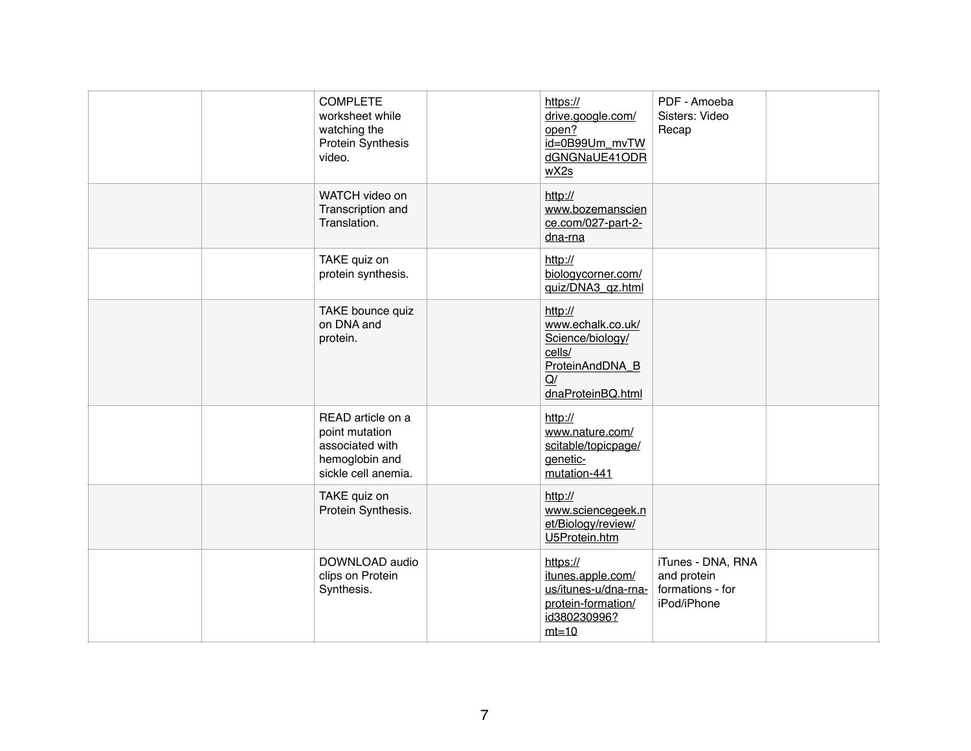| <b>COMPLETE</b><br>worksheet while<br>watching the<br><b>Protein Synthesis</b><br>video.        | https://<br>drive.google.com/<br>open?<br>id=0B99Um_mvTW<br>dGNGNaUE41ODR<br>wX2s                        | PDF - Amoeba<br>Sisters: Video<br>Recap                             |  |
|-------------------------------------------------------------------------------------------------|----------------------------------------------------------------------------------------------------------|---------------------------------------------------------------------|--|
| WATCH video on<br>Transcription and<br>Translation.                                             | http://<br>www.bozemanscien<br>ce.com/027-part-2-<br>dna-rna                                             |                                                                     |  |
| TAKE quiz on<br>protein synthesis.                                                              | http://<br>biologycorner.com/<br>quiz/DNA3_qz.html                                                       |                                                                     |  |
| TAKE bounce quiz<br>on DNA and<br>protein.                                                      | http://<br>www.echalk.co.uk/<br>Science/biology/<br>cells/<br>ProteinAndDNA_B<br>Q/<br>dnaProteinBQ.html |                                                                     |  |
| READ article on a<br>point mutation<br>associated with<br>hemoglobin and<br>sickle cell anemia. | http://<br>www.nature.com/<br>scitable/topicpage/<br>genetic-<br>mutation-441                            |                                                                     |  |
| TAKE quiz on<br>Protein Synthesis.                                                              | http://<br>www.sciencegeek.n<br>et/Biology/review/<br>U5Protein.htm                                      |                                                                     |  |
| DOWNLOAD audio<br>clips on Protein<br>Synthesis.                                                | https://<br>itunes.apple.com/<br>us/itunes-u/dna-rna-<br>protein-formation/<br>id380230996?<br>$mt=10$   | iTunes - DNA, RNA<br>and protein<br>formations - for<br>iPod/iPhone |  |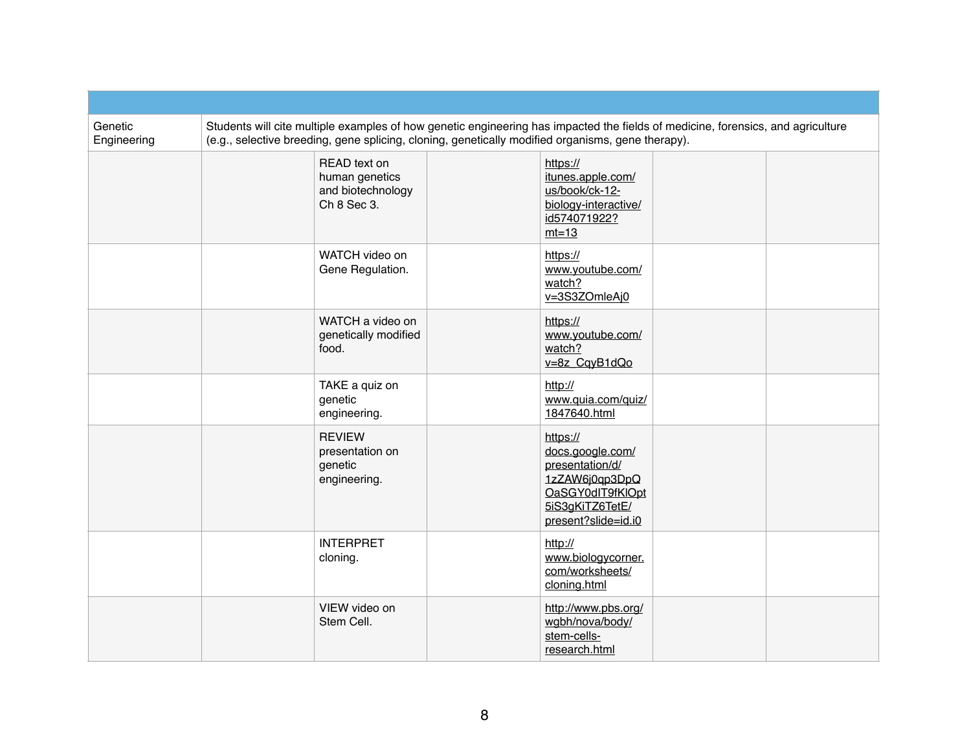| Genetic<br>Engineering | Students will cite multiple examples of how genetic engineering has impacted the fields of medicine, forensics, and agriculture<br>(e.g., selective breeding, gene splicing, cloning, genetically modified organisms, gene therapy). |                                                                    |  |                                                                                                                                 |  |  |
|------------------------|--------------------------------------------------------------------------------------------------------------------------------------------------------------------------------------------------------------------------------------|--------------------------------------------------------------------|--|---------------------------------------------------------------------------------------------------------------------------------|--|--|
|                        |                                                                                                                                                                                                                                      | READ text on<br>human genetics<br>and biotechnology<br>Ch 8 Sec 3. |  | https://<br>itunes.apple.com/<br>us/book/ck-12-<br>biology-interactive/<br>id574071922?<br>$mt=13$                              |  |  |
|                        |                                                                                                                                                                                                                                      | WATCH video on<br>Gene Regulation.                                 |  | https://<br>www.youtube.com/<br>watch?<br>v=3S3ZOmleAj0                                                                         |  |  |
|                        |                                                                                                                                                                                                                                      | WATCH a video on<br>genetically modified<br>food.                  |  | https://<br>www.youtube.com/<br>watch?<br>v=8z_CqyB1dQo                                                                         |  |  |
|                        |                                                                                                                                                                                                                                      | TAKE a quiz on<br>genetic<br>engineering.                          |  | http://<br>www.quia.com/quiz/<br>1847640.html                                                                                   |  |  |
|                        |                                                                                                                                                                                                                                      | <b>REVIEW</b><br>presentation on<br>genetic<br>engineering.        |  | https://<br>docs.google.com/<br>presentation/d/<br>1zZAW6j0qp3DpQ<br>OaSGY0dIT9fKIOpt<br>5iS3gKiTZ6TetE/<br>present?slide=id.i0 |  |  |
|                        |                                                                                                                                                                                                                                      | <b>INTERPRET</b><br>cloning.                                       |  | http://<br>www.biologycorner.<br>com/worksheets/<br>cloning.html                                                                |  |  |
|                        |                                                                                                                                                                                                                                      | VIEW video on<br>Stem Cell.                                        |  | http://www.pbs.org/<br>wgbh/nova/body/<br>stem-cells-<br>research.html                                                          |  |  |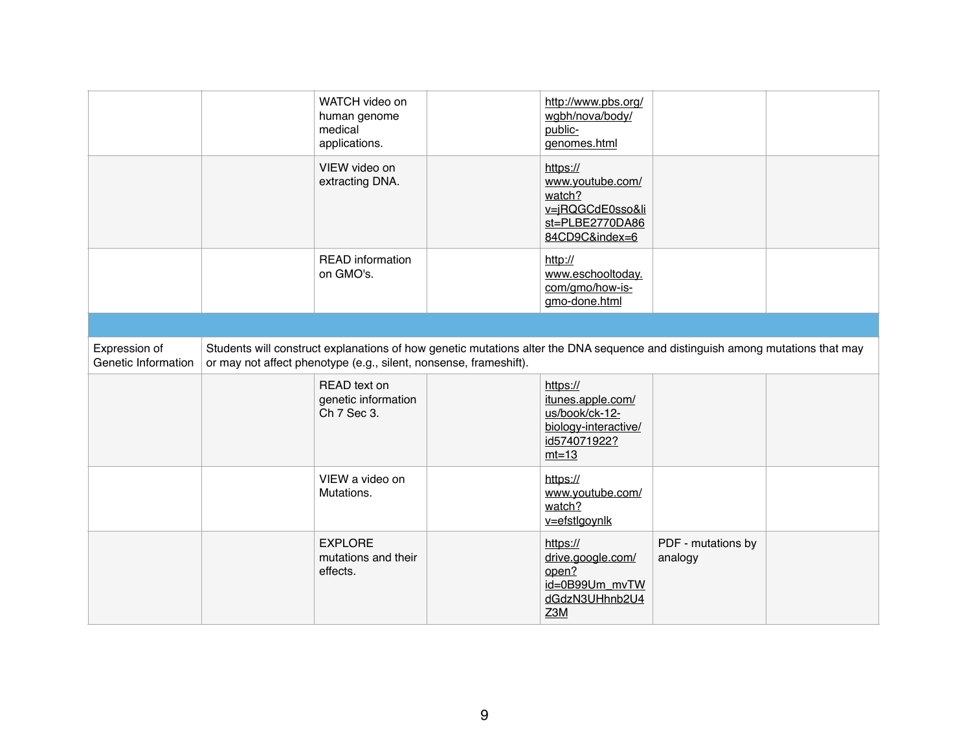|                                      | WATCH video on<br>human genome<br>medical<br>applications.        | http://www.pbs.org/<br>wgbh/nova/body/<br>public-<br>genomes.html                                                             |                               |  |
|--------------------------------------|-------------------------------------------------------------------|-------------------------------------------------------------------------------------------------------------------------------|-------------------------------|--|
|                                      | VIEW video on<br>extracting DNA.                                  | https://<br>www.youtube.com/<br>watch?<br>v=jRQGCdE0sso&li<br>st=PLBE2770DA86<br>84CD9C&index=6                               |                               |  |
|                                      | <b>READ</b> information<br>on GMO's.                              | http://<br>www.eschooltoday.<br>com/gmo/how-is-<br>gmo-done.html                                                              |                               |  |
|                                      |                                                                   |                                                                                                                               |                               |  |
| Expression of<br>Genetic Information | or may not affect phenotype (e.g., silent, nonsense, frameshift). | Students will construct explanations of how genetic mutations alter the DNA sequence and distinguish among mutations that may |                               |  |
|                                      | READ text on<br>genetic information<br>Ch 7 Sec 3.                | https://<br>itunes.apple.com/<br>us/book/ck-12-<br>biology-interactive/<br>id574071922?<br>$mt=13$                            |                               |  |
|                                      | VIEW a video on<br>Mutations.                                     | https://<br>www.youtube.com/<br>watch?<br>v=efstlgoynlk                                                                       |                               |  |
|                                      | <b>EXPLORE</b><br>mutations and their<br>effects.                 | https://<br>drive.google.com/<br>open?<br>id=0B99Um mvTW<br>dGdzN3UHhnb2U4<br>Z3M                                             | PDF - mutations by<br>analogy |  |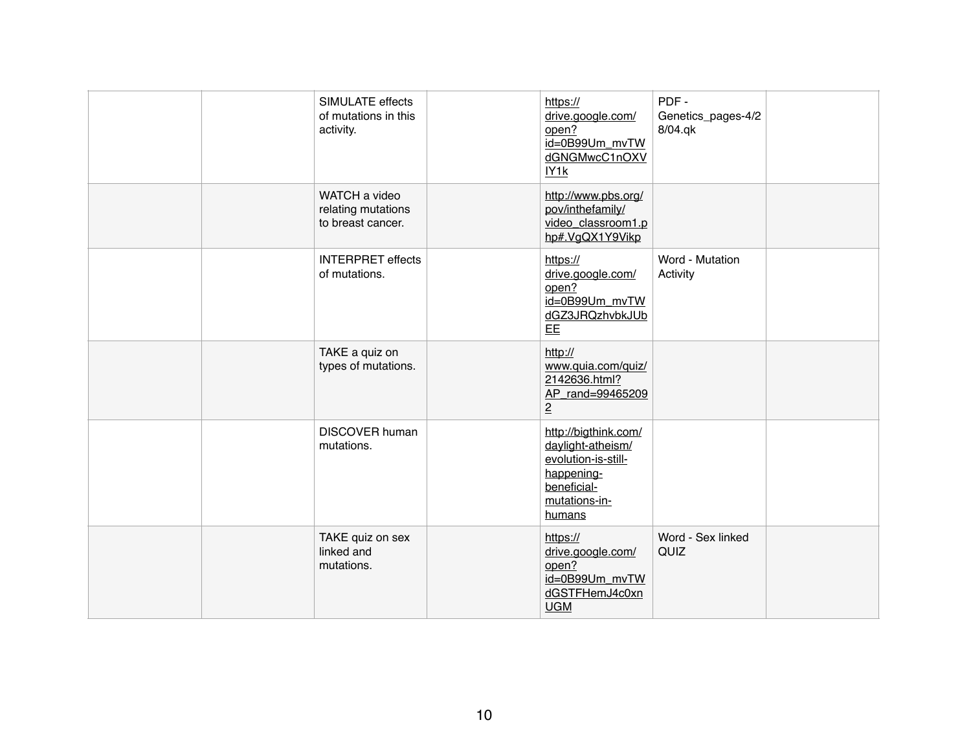| SIMULATE effects<br>of mutations in this<br>activity.    | https://<br>drive.google.com/<br>open?<br>id=0B99Um_mvTW<br>dGNGMwcC1nOXV<br>IY <sub>1</sub> k                           | PDF-<br>Genetics_pages-4/2<br>8/04.qk |
|----------------------------------------------------------|--------------------------------------------------------------------------------------------------------------------------|---------------------------------------|
| WATCH a video<br>relating mutations<br>to breast cancer. | http://www.pbs.org/<br>pov/inthefamily/<br>video_classroom1.p<br>hp#.VgQX1Y9Vikp                                         |                                       |
| <b>INTERPRET</b> effects<br>of mutations.                | https://<br>drive.google.com/<br>open?<br>id=0B99Um_mvTW<br>dGZ3JRQzhvbkJUb<br>EE                                        | Word - Mutation<br>Activity           |
| TAKE a quiz on<br>types of mutations.                    | http://<br>www.quia.com/quiz/<br>2142636.html?<br>AP_rand=99465209<br>$\overline{2}$                                     |                                       |
| <b>DISCOVER human</b><br>mutations.                      | http://bigthink.com/<br>daylight-atheism/<br>evolution-is-still-<br>happening-<br>beneficial-<br>mutations-in-<br>humans |                                       |
| TAKE quiz on sex<br>linked and<br>mutations.             | https://<br>drive.google.com/<br>open?<br>id=0B99Um_mvTW<br>dGSTFHemJ4c0xn<br><b>UGM</b>                                 | Word - Sex linked<br>QUIZ             |